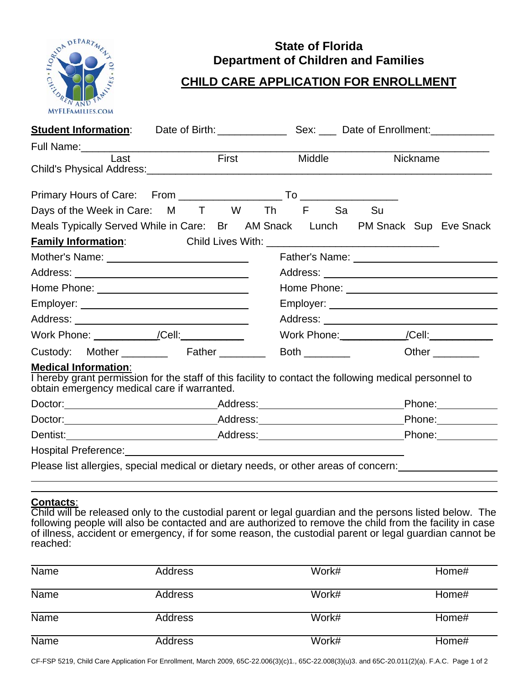

## **State of Florida Department of Children and Families**

## **CHILD CARE APPLICATION FOR ENROLLMENT**

| <b>Student Information:</b>                                                                                                                                                                                                                                                                |                                                              |  | Date of Birth: Sex: Date of Enrollment: |                   |                       |  |
|--------------------------------------------------------------------------------------------------------------------------------------------------------------------------------------------------------------------------------------------------------------------------------------------|--------------------------------------------------------------|--|-----------------------------------------|-------------------|-----------------------|--|
|                                                                                                                                                                                                                                                                                            |                                                              |  |                                         |                   |                       |  |
| Last                                                                                                                                                                                                                                                                                       | First<br>Child's Physical Address: Child's Physical Address: |  | Middle                                  |                   | Nickname              |  |
|                                                                                                                                                                                                                                                                                            |                                                              |  |                                         |                   |                       |  |
| Days of the Week in Care: M T W Th F Sa Su                                                                                                                                                                                                                                                 |                                                              |  |                                         |                   |                       |  |
| Meals Typically Served While in Care: Br AM Snack Lunch PM Snack Sup Eve Snack                                                                                                                                                                                                             |                                                              |  |                                         |                   |                       |  |
|                                                                                                                                                                                                                                                                                            |                                                              |  |                                         |                   |                       |  |
|                                                                                                                                                                                                                                                                                            |                                                              |  |                                         |                   |                       |  |
|                                                                                                                                                                                                                                                                                            |                                                              |  |                                         |                   |                       |  |
| Home Phone: <u>_______________________________</u><br>Home Phone: <u>Alexander Andrew American American State and American American State and American State and American State and American State and American State and American State and American State and American State and Ame</u> |                                                              |  |                                         |                   |                       |  |
|                                                                                                                                                                                                                                                                                            |                                                              |  |                                         |                   |                       |  |
|                                                                                                                                                                                                                                                                                            |                                                              |  |                                         |                   |                       |  |
|                                                                                                                                                                                                                                                                                            |                                                              |  |                                         |                   |                       |  |
| Custody: Mother ________ Father _______                                                                                                                                                                                                                                                    |                                                              |  | <b>Both</b>                             |                   | Other $\qquad \qquad$ |  |
| <b>Medical Information:</b><br>Thereby grant permission for the staff of this facility to contact the following medical personnel to<br>obtain emergency medical care if warranted.                                                                                                        |                                                              |  |                                         |                   |                       |  |
|                                                                                                                                                                                                                                                                                            |                                                              |  |                                         | Phone: __________ |                       |  |
|                                                                                                                                                                                                                                                                                            |                                                              |  |                                         | Phone: 2000       |                       |  |
|                                                                                                                                                                                                                                                                                            |                                                              |  |                                         |                   |                       |  |
| Hospital Preference: The Contract of the Contract of the Contract of the Contract of the Contract of the Contract of the Contract of the Contract of the Contract of the Contract of the Contract of the Contract of the Contr                                                             |                                                              |  |                                         |                   |                       |  |
| Please list allergies, special medical or dietary needs, or other areas of concern:                                                                                                                                                                                                        |                                                              |  |                                         |                   |                       |  |

## **Contacts**:

Child will be released only to the custodial parent or legal guardian and the persons listed below. The following people will also be contacted and are authorized to remove the child from the facility in case of illness, accident or emergency, if for some reason, the custodial parent or legal guardian cannot be reached:

| <b>Name</b> | Address        | Work# | Home# |
|-------------|----------------|-------|-------|
| <b>Name</b> | Address        | Work# | Home# |
| <b>Name</b> | Address        | Work# | Home# |
| <b>Name</b> | <b>Address</b> | Work# | Home# |

CF-FSP 5219, Child Care Application For Enrollment, March 2009, 65C-22.006(3)(c)1., 65C-22.008(3)(u)3. and 65C-20.011(2)(a). F.A.C. Page 1 of 2